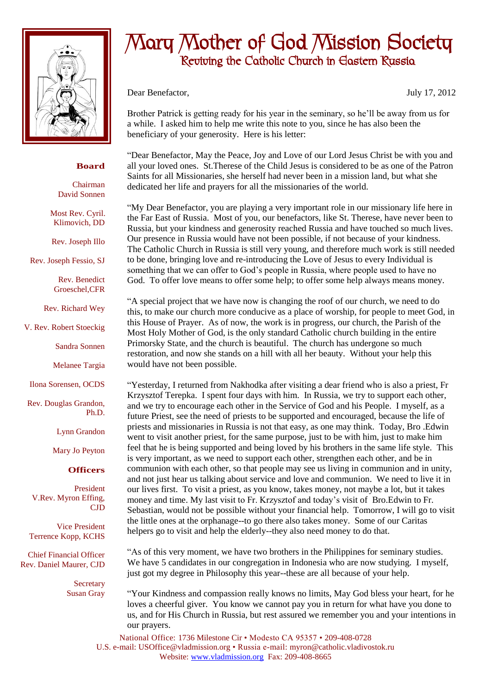

## **Board**

Chairman David Sonnen

Most Rev. Cyril. Klimovich, DD

Rev. Joseph Illo

Rev. Joseph Fessio, SJ

Rev. Benedict Groeschel,CFR

Rev. Richard Wey

V. Rev. Robert Stoeckig

Sandra Sonnen

Melanee Targia

Ilona Sorensen, OCDS

Rev. Douglas Grandon, Ph.D.

Lynn Grandon

Mary Jo Peyton

## **Officers**

President V.Rev. Myron Effing, CJD

Vice President Terrence Kopp, KCHS

Chief Financial Officer Rev. Daniel Maurer, CJD

> **Secretary** Susan Gray

## Mary Mother of God Mission Society Reviving the Catholic Church in Eastern Russia

Dear Benefactor, July 17, 2012

Brother Patrick is getting ready for his year in the seminary, so he'll be away from us for a while. I asked him to help me write this note to you, since he has also been the beneficiary of your generosity. Here is his letter:

"Dear Benefactor, May the Peace, Joy and Love of our Lord Jesus Christ be with you and all your loved ones. St.Therese of the Child Jesus is considered to be as one of the Patron Saints for all Missionaries, she herself had never been in a mission land, but what she dedicated her life and prayers for all the missionaries of the world.

"My Dear Benefactor, you are playing a very important role in our missionary life here in the Far East of Russia. Most of you, our benefactors, like St. Therese, have never been to Russia, but your kindness and generosity reached Russia and have touched so much lives. Our presence in Russia would have not been possible, if not because of your kindness. The Catholic Church in Russia is still very young, and therefore much work is still needed to be done, bringing love and re-introducing the Love of Jesus to every Individual is something that we can offer to God's people in Russia, where people used to have no God. To offer love means to offer some help; to offer some help always means money.

"A special project that we have now is changing the roof of our church, we need to do this, to make our church more conducive as a place of worship, for people to meet God, in this House of Prayer. As of now, the work is in progress, our church, the Parish of the Most Holy Mother of God, is the only standard Catholic church building in the entire Primorsky State, and the church is beautiful. The church has undergone so much restoration, and now she stands on a hill with all her beauty. Without your help this would have not been possible.

"Yesterday, I returned from Nakhodka after visiting a dear friend who is also a priest, Fr Krzysztof Terepka. I spent four days with him. In Russia, we try to support each other, and we try to encourage each other in the Service of God and his People. I myself, as a future Priest, see the need of priests to be supported and encouraged, because the life of priests and missionaries in Russia is not that easy, as one may think. Today, Bro .Edwin went to visit another priest, for the same purpose, just to be with him, just to make him feel that he is being supported and being loved by his brothers in the same life style. This is very important, as we need to support each other, strengthen each other, and be in communion with each other, so that people may see us living in communion and in unity, and not just hear us talking about service and love and communion. We need to live it in our lives first. To visit a priest, as you know, takes money, not maybe a lot, but it takes money and time. My last visit to Fr. Krzysztof and today's visit of Bro.Edwin to Fr. Sebastian, would not be possible without your financial help. Tomorrow, I will go to visit the little ones at the orphanage--to go there also takes money. Some of our Caritas helpers go to visit and help the elderly--they also need money to do that.

"As of this very moment, we have two brothers in the Philippines for seminary studies. We have 5 candidates in our congregation in Indonesia who are now studying. I myself, just got my degree in Philosophy this year--these are all because of your help.

"Your Kindness and compassion really knows no limits, May God bless your heart, for he loves a cheerful giver. You know we cannot pay you in return for what have you done to us, and for His Church in Russia, but rest assured we remember you and your intentions in our prayers.

National Office: 1736 Milestone Cir • Modesto CA 95357 • 209-408-0728 U.S. e-mail: USOffice@vladmission.org • Russia e-mail: myron@catholic.vladivostok.ru Website: www.vladmission.org Fax: 209-408-8665